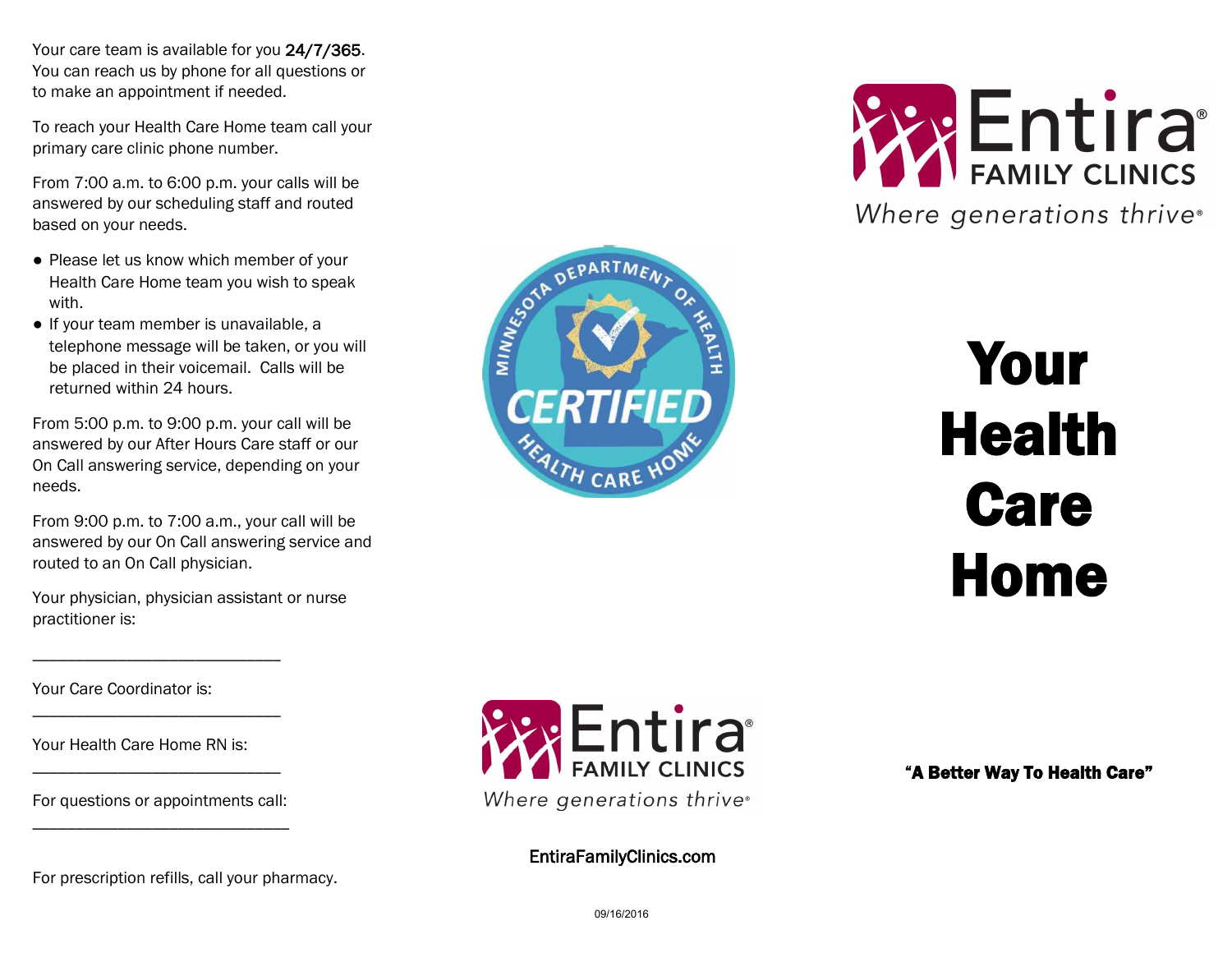Your care team is available for you 24/7/365. You can reach us by phone for all questions or to make an appointment if needed.

To reach your Health Care Home team call your primary care clinic phone number.

From 7:00 a.m. to 6:00 p.m. your calls will be answered by our scheduling staff and routed based on your needs.

- Please let us know which member of your Health Care Home team you wish to speak with.
- If your team member is unavailable, a telephone message will be taken, or you will be placed in their voicemail. Calls will be returned within 24 hours.

From 5:00 p.m. to 9:00 p.m. your call will be answered by our After Hours Care staff or our On Call answering service, depending on your needs.

From 9:00 p.m. to 7:00 a.m., your call will be answered by our On Call answering service and routed to an On Call physician.

Your physician, physician assistant or nurse practitioner is:

Your Care Coordinator is:

Your Health Care Home RN is:

For questions or appointments call: \_\_\_\_\_\_\_\_\_\_\_\_\_\_\_\_\_\_\_\_\_\_\_\_\_\_\_\_\_\_

\_\_\_\_\_\_\_\_\_\_\_\_\_\_\_\_\_\_\_\_\_\_\_\_\_\_\_\_\_

\_\_\_\_\_\_\_\_\_\_\_\_\_\_\_\_\_\_\_\_\_\_\_\_\_\_\_\_\_

\_\_\_\_\_\_\_\_\_\_\_\_\_\_\_\_\_\_\_\_\_\_\_\_\_\_\_\_\_

For prescription refills, call your pharmacy.



DEPARTMEN

**CERTIFIED** 

MINNESSOLD

EntiraFamilyClinics.com



# Your Health Care Home

"A Better Way To Health Care"

09/16/2016